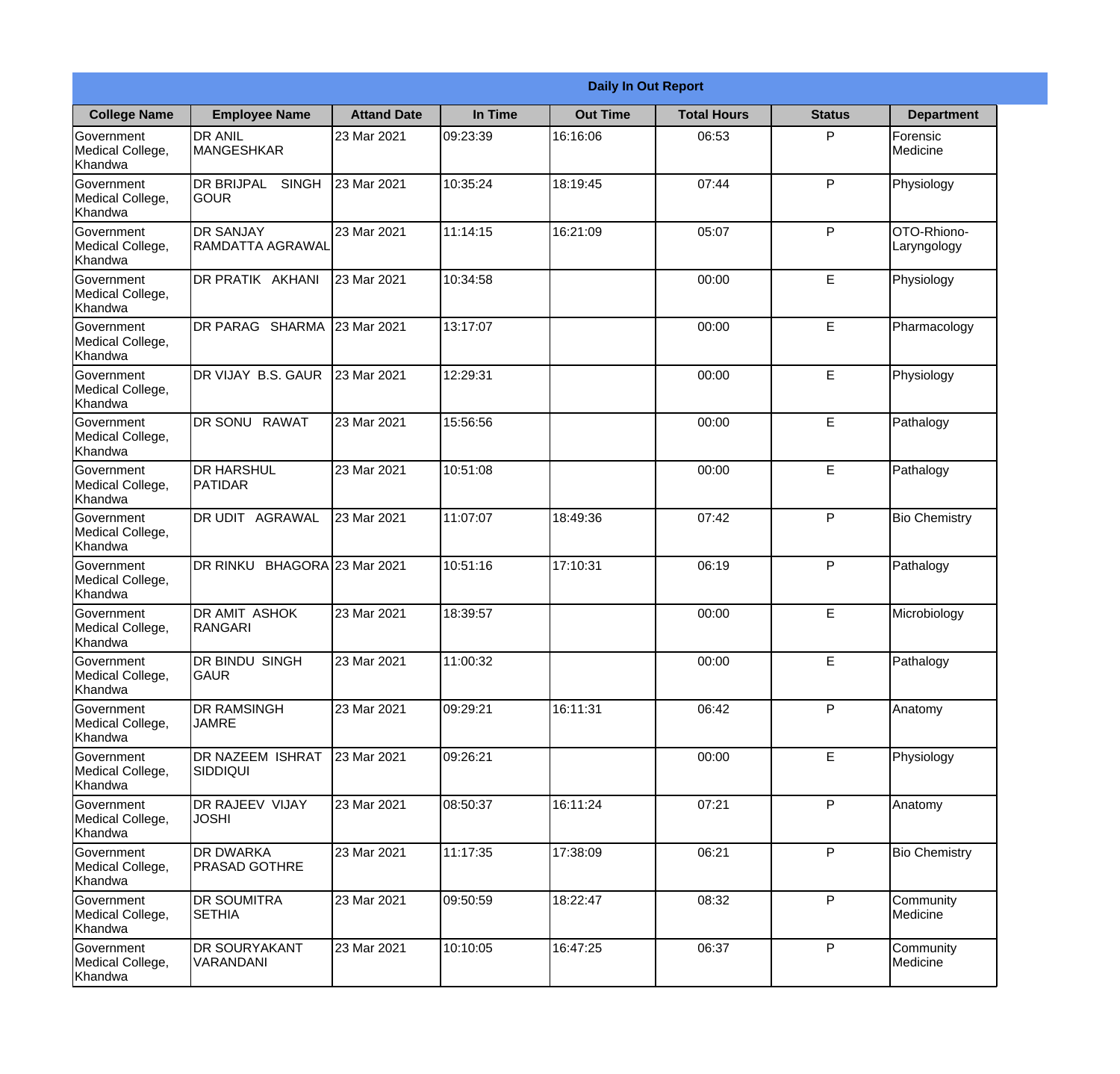|                                                  |                                            |                     |          | <b>Daily In Out Report</b> |                    |               |                            |
|--------------------------------------------------|--------------------------------------------|---------------------|----------|----------------------------|--------------------|---------------|----------------------------|
| <b>College Name</b>                              | <b>Employee Name</b>                       | <b>Attand Date</b>  | In Time  | <b>Out Time</b>            | <b>Total Hours</b> | <b>Status</b> | <b>Department</b>          |
| Government<br>Medical College,<br>Khandwa        | <b>DR ANIL</b><br><b>MANGESHKAR</b>        | 23 Mar 2021         | 09:23:39 | 16:16:06                   | 06:53              | P             | Forensic<br>Medicine       |
| Government<br>Medical College,<br>Khandwa        | <b>DR BRIJPAL</b><br><b>SINGH</b><br> GOUR | 23 Mar 2021         | 10:35:24 | 18:19:45                   | 07:44              | P             | Physiology                 |
| <b>Government</b><br>Medical College,<br>Khandwa | <b>IDR SANJAY</b><br>RAMDATTA AGRAWAL      | 23 Mar 2021         | 11:14:15 | 16:21:09                   | 05:07              | P             | OTO-Rhiono-<br>Laryngology |
| Government<br>Medical College,<br>Khandwa        | <b>DR PRATIK AKHANI</b>                    | 23 Mar 2021         | 10:34:58 |                            | 00:00              | E             | Physiology                 |
| Government<br>Medical College,<br>Khandwa        | DR PARAG SHARMA                            | 23 Mar 2021         | 13:17:07 |                            | 00:00              | E             | Pharmacology               |
| Government<br>Medical College,<br>Khandwa        | DR VIJAY B.S. GAUR                         | 23 Mar 2021         | 12:29:31 |                            | 00:00              | E             | Physiology                 |
| Government<br>Medical College,<br>Khandwa        | DR SONU RAWAT                              | 23 Mar 2021         | 15:56:56 |                            | 00:00              | E             | Pathalogy                  |
| Government<br>Medical College,<br>Khandwa        | <b>DR HARSHUL</b><br>PATIDAR               | 23 Mar 2021         | 10:51:08 |                            | 00:00              | E             | Pathalogy                  |
| Government<br>Medical College,<br>Khandwa        | <b>DR UDIT AGRAWAL</b>                     | 23 Mar 2021         | 11:07:07 | 18:49:36                   | 07:42              | P             | <b>Bio Chemistry</b>       |
| Government<br>Medical College,<br>Khandwa        | <b>DR RINKU</b>                            | BHAGORA 23 Mar 2021 | 10:51:16 | 17:10:31                   | 06:19              | P             | Pathalogy                  |
| Government<br>Medical College,<br>Khandwa        | <b>DR AMIT ASHOK</b><br><b>RANGARI</b>     | 23 Mar 2021         | 18:39:57 |                            | 00:00              | E             | Microbiology               |
| Government<br>Medical College,<br>Khandwa        | <b>DR BINDU SINGH</b><br><b>GAUR</b>       | 23 Mar 2021         | 11:00:32 |                            | 00:00              | E             | Pathalogy                  |
| Government<br>Medical College,<br>Khandwa        | <b>DR RAMSINGH</b><br><b>JAMRE</b>         | 23 Mar 2021         | 09:29:21 | 16:11:31                   | 06:42              | P             | Anatomy                    |
| Government<br>Medical College,<br>Khandwa        | <b>DR NAZEEM ISHRAT</b><br>SIDDIQUI        | 23 Mar 2021         | 09:26:21 |                            | 00:00              | E             | Physiology                 |
| Government<br>Medical College,<br>Khandwa        | <b>DR RAJEEV VIJAY</b><br><b>JOSHI</b>     | 23 Mar 2021         | 08:50:37 | 16:11:24                   | 07:21              | $\mathsf{P}$  | Anatomy                    |
| Government<br>Medical College,<br>Khandwa        | <b>DR DWARKA</b><br><b>PRASAD GOTHRE</b>   | 23 Mar 2021         | 11:17:35 | 17:38:09                   | 06:21              | P             | <b>Bio Chemistry</b>       |
| Government<br>Medical College,<br>Khandwa        | <b>DR SOUMITRA</b><br><b>SETHIA</b>        | 23 Mar 2021         | 09:50:59 | 18:22:47                   | 08:32              | P             | Community<br>Medicine      |
| Government<br>Medical College,<br>Khandwa        | <b>DR SOURYAKANT</b><br>VARANDANI          | 23 Mar 2021         | 10:10:05 | 16:47:25                   | 06:37              | P             | Community<br>Medicine      |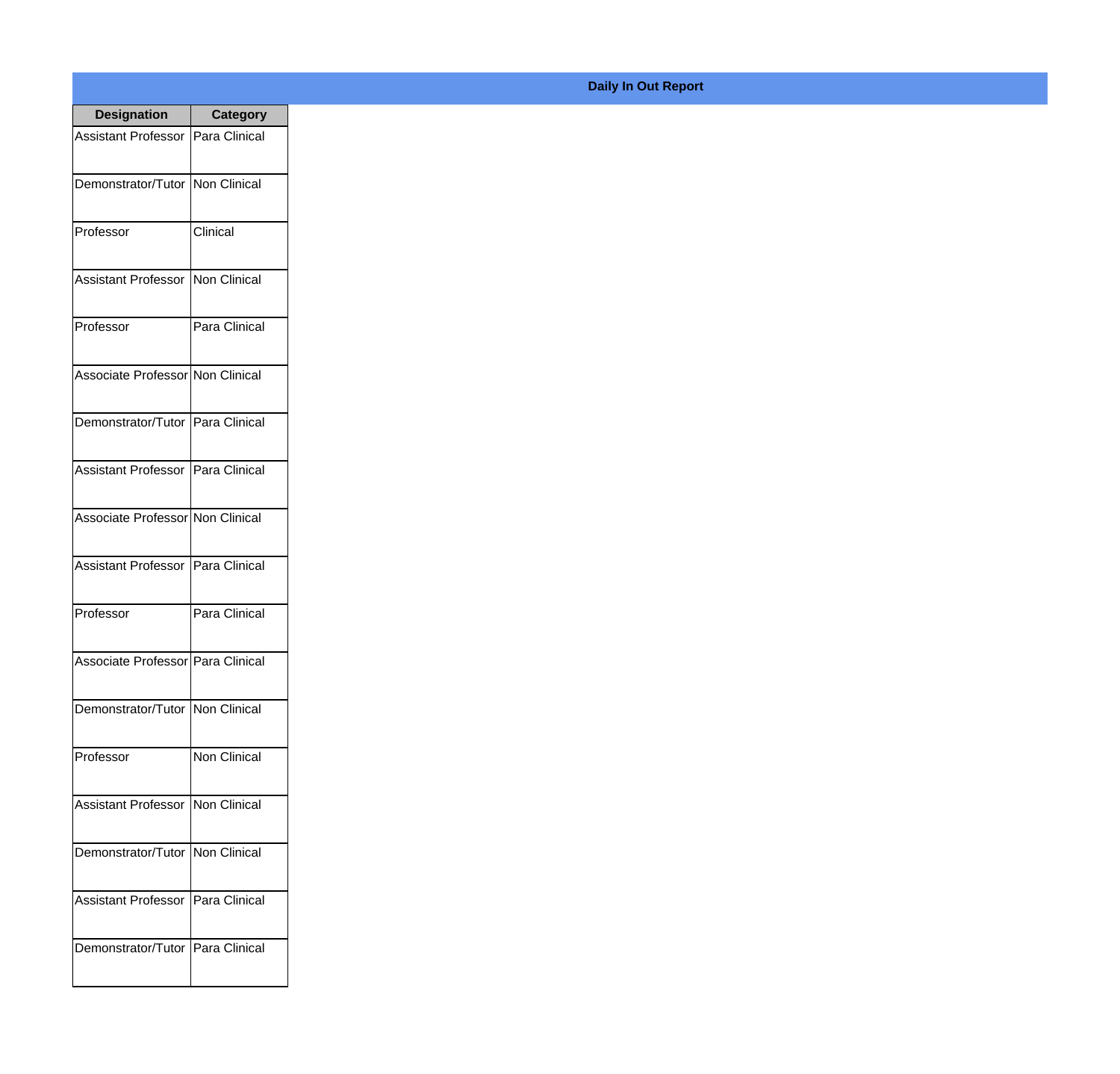| <b>Designation</b>                  | <b>Category</b> |
|-------------------------------------|-----------------|
| Assistant Professor   Para Clinical |                 |
| Demonstrator/Tutor   Non Clinical   |                 |
| Professor                           | Clinical        |
| Assistant Professor   Non Clinical  |                 |
| Professor                           | Para Clinical   |
| Associate Professor Non Clinical    |                 |
| Demonstrator/Tutor   Para Clinical  |                 |
| Assistant Professor   Para Clinical |                 |
| Associate Professor Non Clinical    |                 |
| Assistant Professor   Para Clinical |                 |
| Professor                           | Para Clinical   |
| Associate Professor Para Clinical   |                 |
| Demonstrator/Tutor   Non Clinical   |                 |
| Professor                           | Non Clinical    |
| Assistant Professor                 | Non Clinical    |
| Demonstrator/Tutor   Non Clinical   |                 |
| <b>Assistant Professor</b>          | Para Clinical   |
| Demonstrator/Tutor   Para Clinical  |                 |

## **Daily In Out Report**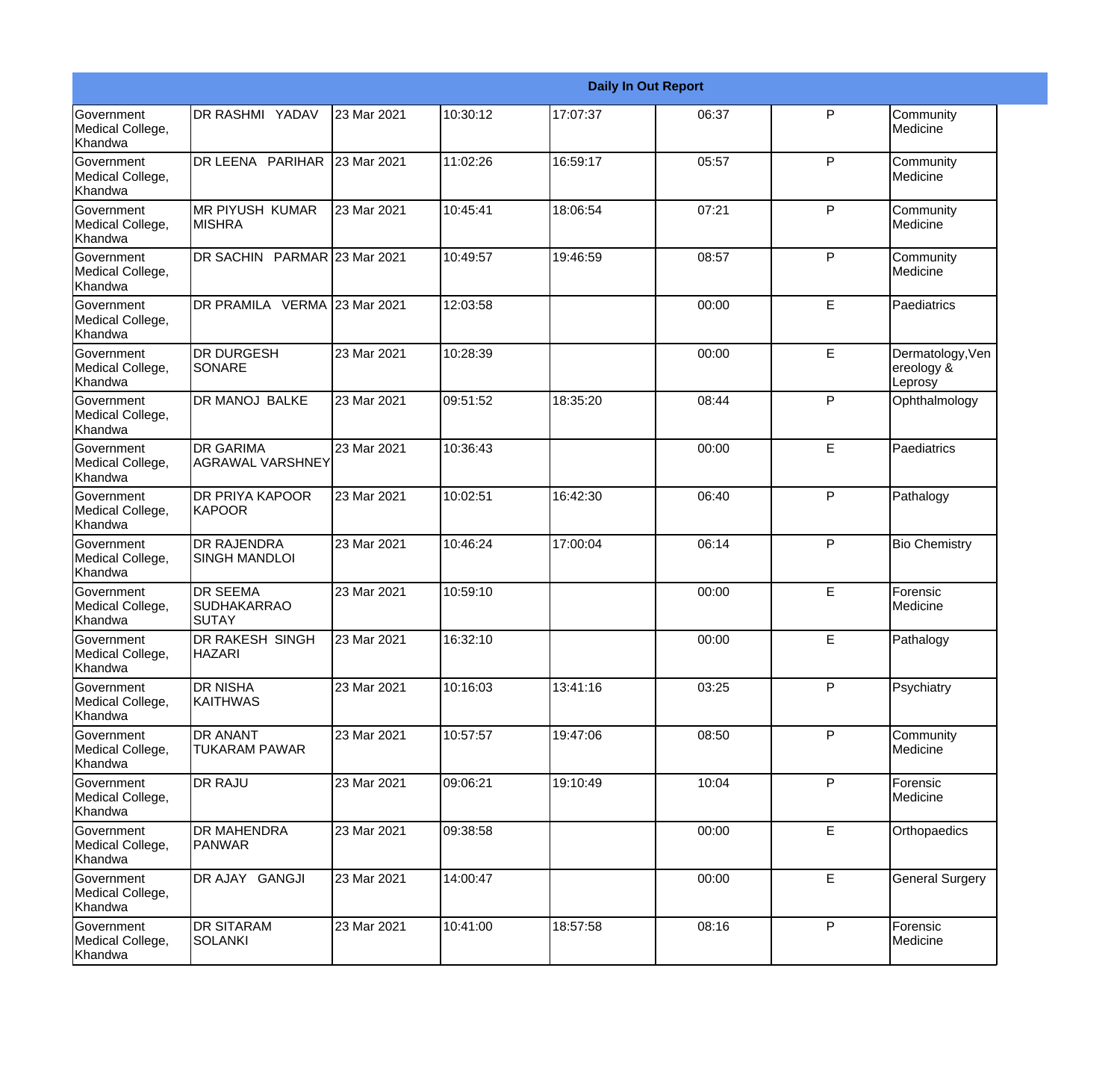|                                                         |                                                       |             |          |          | <b>Daily In Out Report</b> |              |                                           |
|---------------------------------------------------------|-------------------------------------------------------|-------------|----------|----------|----------------------------|--------------|-------------------------------------------|
| Government<br>Medical College,<br>Khandwa               | <b>DR RASHMI YADAV</b>                                | 23 Mar 2021 | 10:30:12 | 17:07:37 | 06:37                      | P            | Community<br>Medicine                     |
| Government<br>Medical College,<br>Khandwa               | DR LEENA PARIHAR                                      | 23 Mar 2021 | 11:02:26 | 16:59:17 | 05:57                      | P            | Community<br>Medicine                     |
| <b>Government</b><br>Medical College,<br>Khandwa        | <b>MR PIYUSH KUMAR</b><br><b>MISHRA</b>               | 23 Mar 2021 | 10:45:41 | 18:06:54 | 07:21                      | P            | Community<br>Medicine                     |
| <b>Government</b><br>Medical College,<br>Khandwa        | DR SACHIN PARMAR 23 Mar 2021                          |             | 10:49:57 | 19:46:59 | 08:57                      | P            | Community<br>Medicine                     |
| Government<br>Medical College,<br>Khandwa               | DR PRAMILA VERMA 23 Mar 2021                          |             | 12:03:58 |          | 00:00                      | E            | Paediatrics                               |
| Government<br>Medical College,<br>Khandwa               | <b>DR DURGESH</b><br>SONARE                           | 23 Mar 2021 | 10:28:39 |          | 00:00                      | E            | Dermatology, Ven<br>ereology &<br>Leprosy |
| Government<br>Medical College,<br>Khandwa               | <b>DR MANOJ BALKE</b>                                 | 23 Mar 2021 | 09:51:52 | 18:35:20 | 08:44                      | P            | Ophthalmology                             |
| Government<br>Medical College,<br>Khandwa               | <b>DR GARIMA</b><br><b>AGRAWAL VARSHNEY</b>           | 23 Mar 2021 | 10:36:43 |          | 00:00                      | E            | Paediatrics                               |
| Government<br>Medical College,<br>Khandwa               | DR PRIYA KAPOOR<br>KAPOOR                             | 23 Mar 2021 | 10:02:51 | 16:42:30 | 06:40                      | $\mathsf{P}$ | Pathalogy                                 |
| <b>Government</b><br>Medical College,<br>Khandwa        | <b>DR RAJENDRA</b><br><b>SINGH MANDLOI</b>            | 23 Mar 2021 | 10:46:24 | 17:00:04 | 06:14                      | P            | <b>Bio Chemistry</b>                      |
| <b>Government</b><br>Medical College,<br><b>Khandwa</b> | <b>DR SEEMA</b><br><b>SUDHAKARRAO</b><br><b>SUTAY</b> | 23 Mar 2021 | 10:59:10 |          | 00:00                      | E            | Forensic<br>Medicine                      |
| Government<br>Medical College,<br>Khandwa               | <b>DR RAKESH SINGH</b><br><b>HAZARI</b>               | 23 Mar 2021 | 16:32:10 |          | 00:00                      | E            | Pathalogy                                 |
| Government<br>Medical College,<br>Khandwa               | <b>DR NISHA</b><br><b>KAITHWAS</b>                    | 23 Mar 2021 | 10:16:03 | 13:41:16 | 03:25                      | P            | Psychiatry                                |
| Government<br>Medical College,<br>Khandwa               | <b>DR ANANT</b><br>TUKARAM PAWAR                      | 23 Mar 2021 | 10:57:57 | 19:47:06 | 08:50                      | $\mathsf{P}$ | Community<br>Medicine                     |
| Government<br>Medical College,<br>Khandwa               | <b>DR RAJU</b>                                        | 23 Mar 2021 | 09:06:21 | 19:10:49 | 10:04                      | P            | Forensic<br>Medicine                      |
| Government<br>Medical College,<br>Khandwa               | <b>DR MAHENDRA</b><br>PANWAR                          | 23 Mar 2021 | 09:38:58 |          | 00:00                      | E            | Orthopaedics                              |
| Government<br>Medical College,<br>Khandwa               | DR AJAY GANGJI                                        | 23 Mar 2021 | 14:00:47 |          | 00:00                      | E            | <b>General Surgery</b>                    |
| Government<br>Medical College,<br>Khandwa               | <b>DR SITARAM</b><br><b>SOLANKI</b>                   | 23 Mar 2021 | 10:41:00 | 18:57:58 | 08:16                      | $\mathsf{P}$ | Forensic<br>Medicine                      |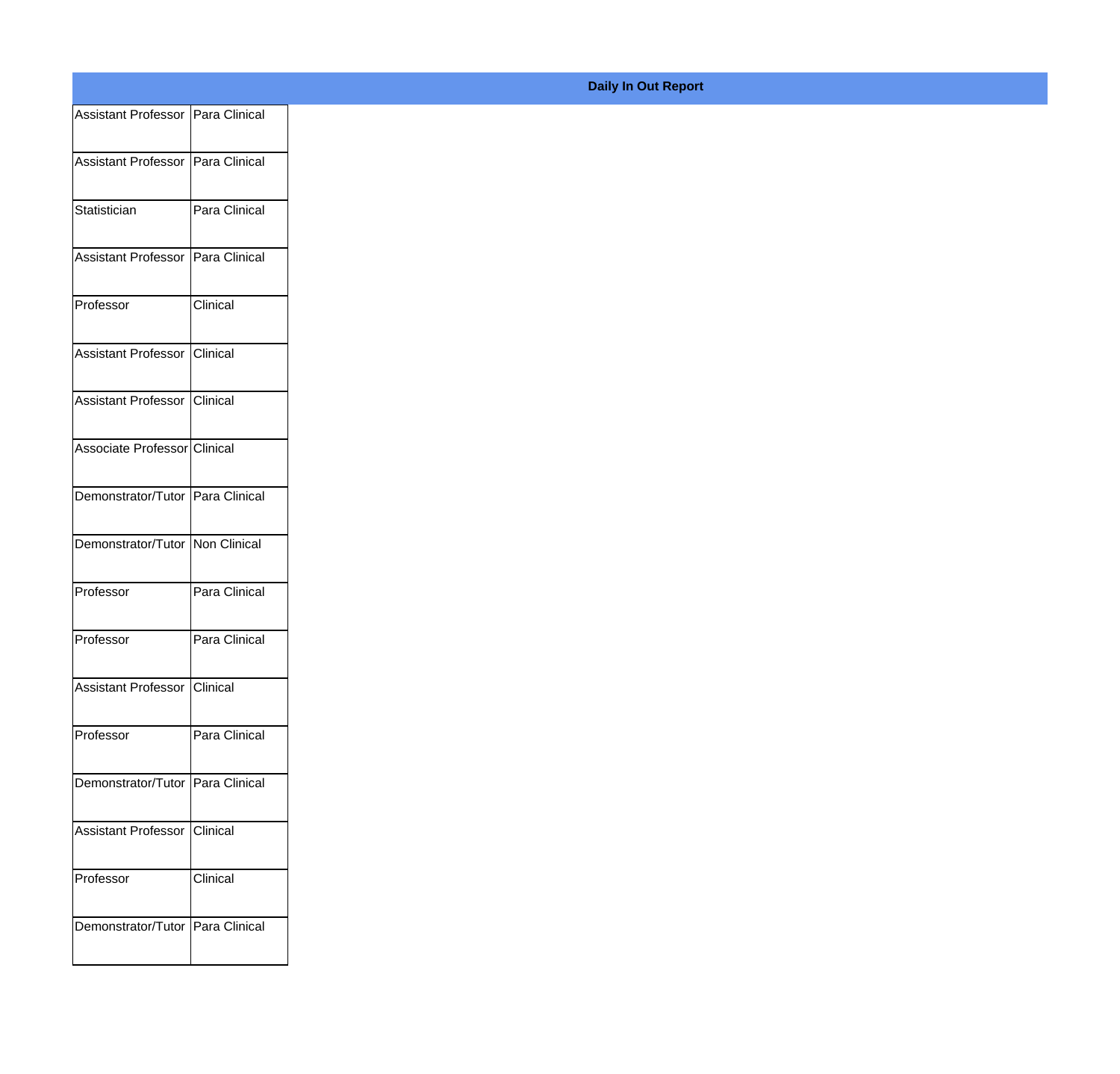| Assistant Professor Para Clinical |                 |
|-----------------------------------|-----------------|
| Assistant Professor Para Clinical |                 |
|                                   |                 |
| Statistician                      | Para Clinical   |
| Assistant Professor Para Clinical |                 |
| Professor                         | Clinical        |
| Assistant Professor               | Clinical        |
| Assistant Professor Clinical      |                 |
| Associate Professor Clinical      |                 |
| Demonstrator/Tutor Para Clinical  |                 |
| Demonstrator/Tutor Non Clinical   |                 |
| Professor                         | Para Clinical   |
| Professor                         | Para Clinical   |
|                                   |                 |
| Assistant Professor Clinical      |                 |
| Professor                         | Para Clinical   |
| Demonstrator/Tutor Para Clinical  |                 |
| Assistant Professor               | <b>Clinical</b> |
| Professor                         | Clinical        |
| Demonstrator/Tutor Para Clinical  |                 |
|                                   |                 |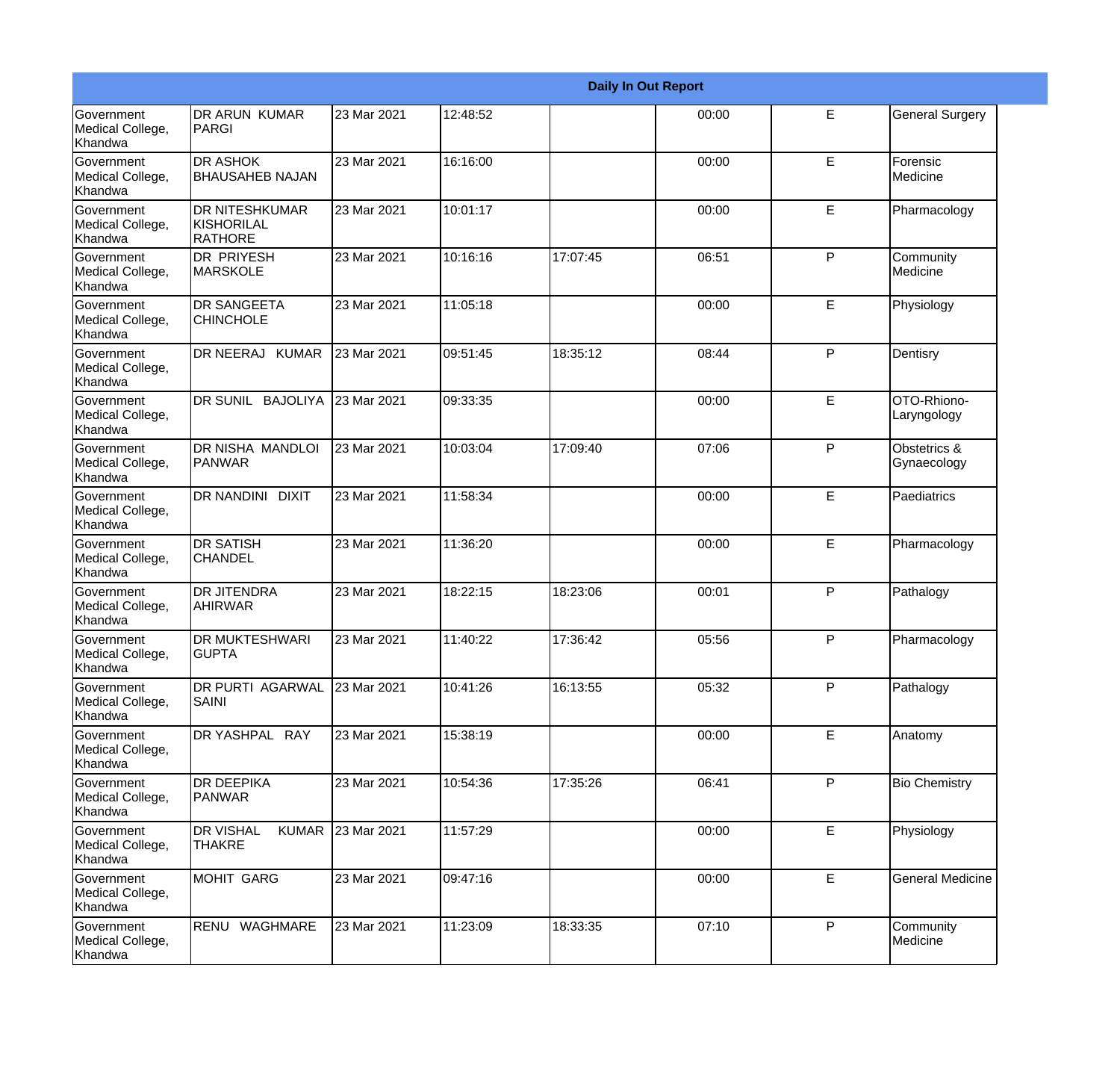|                                                         |                                                       |             |          |          | <b>Daily In Out Report</b> |              |                             |
|---------------------------------------------------------|-------------------------------------------------------|-------------|----------|----------|----------------------------|--------------|-----------------------------|
| Government<br>Medical College,<br>Khandwa               | DR ARUN KUMAR<br>PARGI                                | 23 Mar 2021 | 12:48:52 |          | 00:00                      | E            | <b>General Surgery</b>      |
| <b>Government</b><br>Medical College,<br>Khandwa        | <b>DR ASHOK</b><br><b>BHAUSAHEB NAJAN</b>             | 23 Mar 2021 | 16:16:00 |          | 00:00                      | E            | Forensic<br>Medicine        |
| <b>Government</b><br>Medical College,<br><b>Khandwa</b> | <b>DR NITESHKUMAR</b><br>KISHORILAL<br><b>RATHORE</b> | 23 Mar 2021 | 10:01:17 |          | 00:00                      | E            | Pharmacology                |
| <b>Government</b><br>Medical College,<br>Khandwa        | <b>DR PRIYESH</b><br><b>MARSKOLE</b>                  | 23 Mar 2021 | 10:16:16 | 17:07:45 | 06:51                      | P            | Community<br>Medicine       |
| Government<br>Medical College,<br>Khandwa               | <b>DR SANGEETA</b><br><b>CHINCHOLE</b>                | 23 Mar 2021 | 11:05:18 |          | 00:00                      | E            | Physiology                  |
| <b>Government</b><br>Medical College,<br>Khandwa        | DR NEERAJ KUMAR                                       | 23 Mar 2021 | 09:51:45 | 18:35:12 | 08:44                      | P            | Dentisry                    |
| Government<br>Medical College,<br>Khandwa               | DR SUNIL<br><b>BAJOLIYA</b>                           | 23 Mar 2021 | 09:33:35 |          | 00:00                      | E            | OTO-Rhiono-<br>Laryngology  |
| Government<br>Medical College,<br>Khandwa               | DR NISHA MANDLOI<br><b>PANWAR</b>                     | 23 Mar 2021 | 10:03:04 | 17:09:40 | 07:06                      | P            | Obstetrics &<br>Gynaecology |
| Government<br>Medical College,<br>Khandwa               | DR NANDINI DIXIT                                      | 23 Mar 2021 | 11:58:34 |          | 00:00                      | E            | Paediatrics                 |
| <b>Government</b><br>Medical College,<br>Khandwa        | <b>DR SATISH</b><br><b>CHANDEL</b>                    | 23 Mar 2021 | 11:36:20 |          | 00:00                      | E            | Pharmacology                |
| <b>Government</b><br>Medical College,<br>Khandwa        | <b>DR JITENDRA</b><br>AHIRWAR                         | 23 Mar 2021 | 18:22:15 | 18:23:06 | 00:01                      | P            | Pathalogy                   |
| Government<br>Medical College,<br>Khandwa               | <b>DR MUKTESHWARI</b><br><b>I</b> GUPTA               | 23 Mar 2021 | 11:40:22 | 17:36:42 | 05:56                      | P            | Pharmacology                |
| Government<br>Medical College,<br>Khandwa               | DR PURTI AGARWAL<br><b>SAINI</b>                      | 23 Mar 2021 | 10:41:26 | 16:13:55 | 05:32                      | P            | Pathalogy                   |
| Government<br>Medical College,<br>Khandwa               | DR YASHPAL RAY                                        | 23 Mar 2021 | 15:38:19 |          | 00:00                      | E.           | Anatomy                     |
| Government<br>Medical College,<br>Khandwa               | <b>DR DEEPIKA</b><br>PANWAR                           | 23 Mar 2021 | 10:54:36 | 17:35:26 | 06:41                      | P            | <b>Bio Chemistry</b>        |
| Government<br>Medical College,<br>Khandwa               | <b>DR VISHAL</b><br><b>KUMAR</b><br><b>THAKRE</b>     | 23 Mar 2021 | 11:57:29 |          | 00:00                      | E            | Physiology                  |
| Government<br>Medical College,<br>Khandwa               | MOHIT GARG                                            | 23 Mar 2021 | 09:47:16 |          | 00:00                      | E            | <b>General Medicine</b>     |
| Government<br>Medical College,<br>Khandwa               | RENU WAGHMARE                                         | 23 Mar 2021 | 11:23:09 | 18:33:35 | 07:10                      | $\mathsf{P}$ | Community<br>Medicine       |